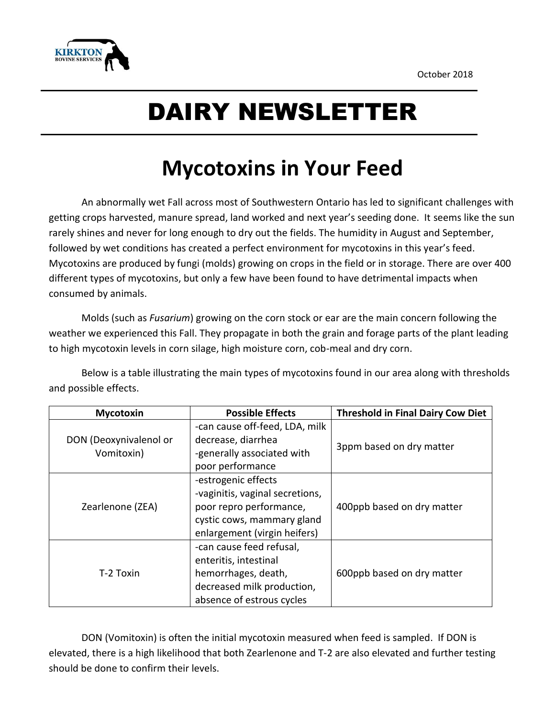

## DAIRY NEWSLETTER

## **Mycotoxins in Your Feed**

An abnormally wet Fall across most of Southwestern Ontario has led to significant challenges with getting crops harvested, manure spread, land worked and next year's seeding done. It seems like the sun rarely shines and never for long enough to dry out the fields. The humidity in August and September, followed by wet conditions has created a perfect environment for mycotoxins in this year's feed. Mycotoxins are produced by fungi (molds) growing on crops in the field or in storage. There are over 400 different types of mycotoxins, but only a few have been found to have detrimental impacts when consumed by animals.

Molds (such as *Fusarium*) growing on the corn stock or ear are the main concern following the weather we experienced this Fall. They propagate in both the grain and forage parts of the plant leading to high mycotoxin levels in corn silage, high moisture corn, cob-meal and dry corn.

Below is a table illustrating the main types of mycotoxins found in our area along with thresholds and possible effects.

| <b>Mycotoxin</b>                     | <b>Possible Effects</b>         | <b>Threshold in Final Dairy Cow Diet</b> |
|--------------------------------------|---------------------------------|------------------------------------------|
| DON (Deoxynivalenol or<br>Vomitoxin) | -can cause off-feed, LDA, milk  | 3ppm based on dry matter                 |
|                                      | decrease, diarrhea              |                                          |
|                                      | -generally associated with      |                                          |
|                                      | poor performance                |                                          |
| Zearlenone (ZEA)                     | -estrogenic effects             |                                          |
|                                      | -vaginitis, vaginal secretions, |                                          |
|                                      | poor repro performance,         | 400ppb based on dry matter               |
|                                      | cystic cows, mammary gland      |                                          |
|                                      | enlargement (virgin heifers)    |                                          |
| T-2 Toxin                            | -can cause feed refusal,        |                                          |
|                                      | enteritis, intestinal           |                                          |
|                                      | hemorrhages, death,             | 600ppb based on dry matter               |
|                                      | decreased milk production,      |                                          |
|                                      | absence of estrous cycles       |                                          |

DON (Vomitoxin) is often the initial mycotoxin measured when feed is sampled. If DON is elevated, there is a high likelihood that both Zearlenone and T-2 are also elevated and further testing should be done to confirm their levels.